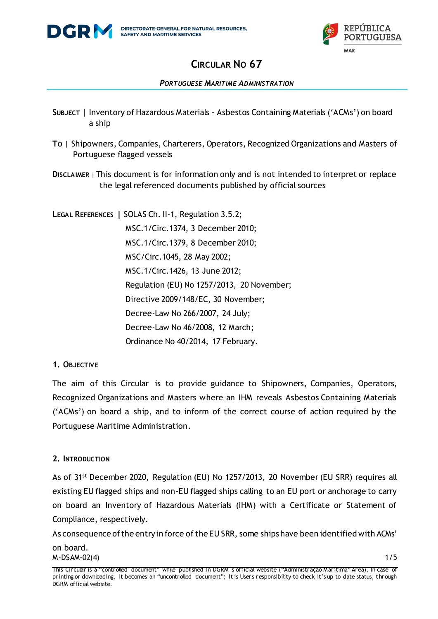

### *PORTUGUESE MARITIME ADMINISTRATION*

- **SUBJECT** | Inventory of Hazardous Materials Asbestos Containing Materials ('ACMs') on board a ship
- **TO** | Shipowners, Companies, Charterers, Operators, Recognized Organizations and Masters of Portuguese flagged vessels
- **DISCLAIMER** | This document is for information only and is not intended to interpret or replace the legal referenced documents published by official sources

**LEGAL REFERENCES |** SOLAS Ch. II-1, Regulation 3.5.2; MSC.1/Circ.1374, 3 December 2010; MSC.1/Circ.1379, 8 December 2010; MSC/Circ.1045, 28 May 2002; MSC.1/Circ.1426, 13 June 2012; Regulation (EU) No 1257/2013, 20 November; Directive 2009/148/EC, 30 November; Decree-Law No 266/2007, 24 July; Decree-Law No 46/2008, 12 March; Ordinance No 40/2014, 17 February.

## **1. OBJECTIVE**

The aim of this Circular is to provide guidance to Shipowners, Companies, Operators, Recognized Organizations and Masters where an IHM reveals Asbestos Containing Materials ('ACMs') on board a ship, and to inform of the correct course of action required by the Portuguese Maritime Administration.

### **2. INTRODUCTION**

As of 31st December 2020, Regulation (EU) No 1257/2013, 20 November (EU SRR) requires all existing EU flagged ships and non-EU flagged ships calling to an EU port or anchorage to carry on board an Inventory of Hazardous Materials (IHM) with a Certificate or Statement of Compliance, respectively.

 $M-DSAM-02(4)$  1/5 As consequence of the entry in force of the EU SRR, some ships have been identified with ACMs' on board.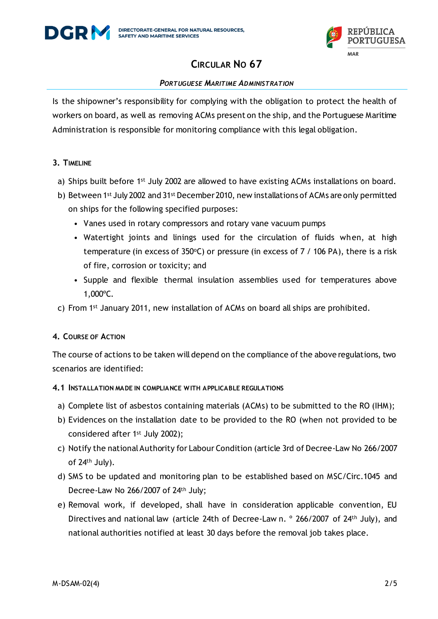



#### *PORTUGUESE MARITIME ADMINISTRATION*

Is the shipowner's responsibility for complying with the obligation to protect the health of workers on board, as well as removing ACMs present on the ship, and the Portuguese Maritime Administration is responsible for monitoring compliance with this legal obligation.

#### **3. TIMELINE**

- a) Ships built before 1<sup>st</sup> July 2002 are allowed to have existing ACMs installations on board.
- b) Between 1st July 2002 and 31st December 2010, new installations of ACMs are only permitted on ships for the following specified purposes:
	- Vanes used in rotary compressors and rotary vane vacuum pumps
	- Watertight joints and linings used for the circulation of fluids when, at high temperature (in excess of 350°C) or pressure (in excess of 7 / 106 PA), there is a risk of fire, corrosion or toxicity; and
	- Supple and flexible thermal insulation assemblies used for temperatures above 1,000ºC.
- c) From 1st January 2011, new installation of ACMs on board all ships are prohibited.

## **4. COURSE OF ACTION**

The course of actions to be taken will depend on the compliance of the above regulations, two scenarios are identified:

### **4.1 INSTALLATION MADE IN COMPLIANCE WITH APPLICABLE REGULATIONS**

- a) Complete list of asbestos containing materials (ACMs) to be submitted to the RO (IHM);
- b) Evidences on the installation date to be provided to the RO (when not provided to be considered after 1<sup>st</sup> July 2002);
- c) Notify the national Authority for Labour Condition (article 3rd of Decree-Law No 266/2007 of 24th July).
- d) SMS to be updated and monitoring plan to be established based on MSC/Circ.1045 and Decree-Law No 266/2007 of 24th July;
- e) Removal work, if developed, shall have in consideration applicable convention, EU Directives and national law (article 24th of Decree-Law n. <sup>o</sup> 266/2007 of 24<sup>th</sup> July), and national authorities notified at least 30 days before the removal job takes place.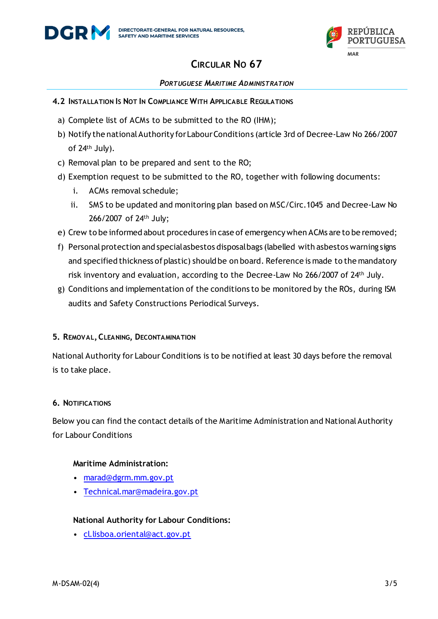

#### *PORTUGUESE MARITIME ADMINISTRATION*

- **4.2 INSTALLATION IS NOT IN COMPLIANCE WITH APPLICABLE REGULATIONS**
	- a) Complete list of ACMs to be submitted to the RO (IHM);
	- b) Notify the national Authority for Labour Conditions (article 3rd of Decree-Law No 266/2007 of 24th July).
	- c) Removal plan to be prepared and sent to the RO;
	- d) Exemption request to be submitted to the RO, together with following documents:
		- i. ACMs removal schedule;
		- ii. SMS to be updated and monitoring plan based on MSC/Circ.1045 and Decree-Law No 266/2007 of 24th July;
	- e) Crew to be informed about procedures in case of emergency when ACMs are to be removed;
	- f) Personal protection and special asbestos disposal bags (labelled with asbestos warning signs and specified thickness of plastic) should be on board. Reference is made to the mandatory risk inventory and evaluation, according to the Decree-Law No 266/2007 of 24th July.
	- g) Conditions and implementation of the conditions to be monitored by the ROs, during ISM audits and Safety Constructions Periodical Surveys.

### **5. REMOVAL,CLEANING, DECONTAMINATION**

National Authority for Labour Conditions is to be notified at least 30 days before the removal is to take place.

### **6. NOTIFICATIONS**

Below you can find the contact details of the Maritime Administration and National Authority for Labour Conditions

#### **Maritime Administration:**

- [marad@dgrm.mm.gov.pt](mailto:marad@dgrm.mm.gov.pt)
- [Technical.mar@madeira.gov.pt](mailto:Technical.mar@madeira.gov.pt)

### **National Authority for Labour Conditions:**

• [cl.lisboa.oriental@act.gov.pt](mailto:cl.lisboa.oriental@act.gov.pt)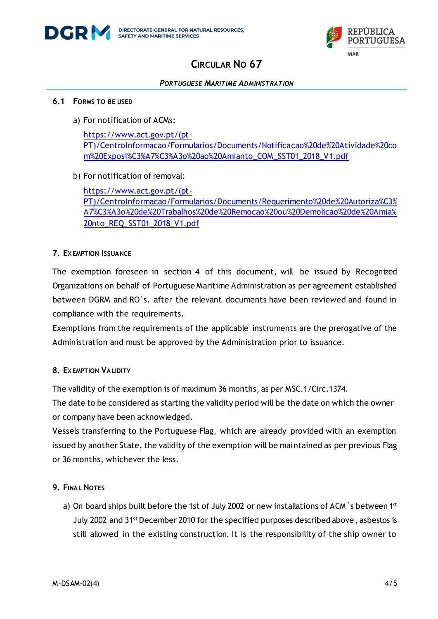



#### *PORTUGUESE MARITIME ADMINISTRATION*

#### **6.1 FORMS TO BE USED**

a) For notification of ACMs:

[https://www.act.gov.pt/\(pt-](https://www.act.gov.pt/(pt-PT)/CentroInformacao/Formularios/Documents/Notificacao%20de%20Atividade%20com%20Exposi%C3%A7%C3%A3o%20ao%20Amianto_COM_SST01_2018_V1.pdf)[PT\)/CentroInformacao/Formularios/Documents/Notificacao%20de%20Atividade%20co](https://www.act.gov.pt/(pt-PT)/CentroInformacao/Formularios/Documents/Notificacao%20de%20Atividade%20com%20Exposi%C3%A7%C3%A3o%20ao%20Amianto_COM_SST01_2018_V1.pdf) [m%20Exposi%C3%A7%C3%A3o%20ao%20Amianto\\_COM\\_SST01\\_2018\\_V1.pdf](https://www.act.gov.pt/(pt-PT)/CentroInformacao/Formularios/Documents/Notificacao%20de%20Atividade%20com%20Exposi%C3%A7%C3%A3o%20ao%20Amianto_COM_SST01_2018_V1.pdf)

b) For notification of removal:

[https://www.act.gov.pt/\(pt-](https://www.act.gov.pt/(pt-PT)/CentroInformacao/Formularios/Documents/Requerimento%20de%20Autoriza%C3%A7%C3%A3o%20de%20Trabalhos%20de%20Remocao%20ou%20Demolicao%20de%20Amia%20nto_REQ_SST01_2018_V1.pdf)[PT\)/CentroInformacao/Formularios/Documents/Requerimento%20de%20Autoriza%C3%](https://www.act.gov.pt/(pt-PT)/CentroInformacao/Formularios/Documents/Requerimento%20de%20Autoriza%C3%A7%C3%A3o%20de%20Trabalhos%20de%20Remocao%20ou%20Demolicao%20de%20Amia%20nto_REQ_SST01_2018_V1.pdf) [A7%C3%A3o%20de%20Trabalhos%20de%20Remocao%20ou%20Demolicao%20de%20Amia%](https://www.act.gov.pt/(pt-PT)/CentroInformacao/Formularios/Documents/Requerimento%20de%20Autoriza%C3%A7%C3%A3o%20de%20Trabalhos%20de%20Remocao%20ou%20Demolicao%20de%20Amia%20nto_REQ_SST01_2018_V1.pdf) [20nto\\_REQ\\_SST01\\_2018\\_V1.pdf](https://www.act.gov.pt/(pt-PT)/CentroInformacao/Formularios/Documents/Requerimento%20de%20Autoriza%C3%A7%C3%A3o%20de%20Trabalhos%20de%20Remocao%20ou%20Demolicao%20de%20Amia%20nto_REQ_SST01_2018_V1.pdf)

### **7. EXEMPTION ISSUANCE**

The exemption foreseen in section 4 of this document, will be issued by Recognized Organizations on behalf of Portuguese Maritime Administration as per agreement established between DGRM and RO´s. after the relevant documents have been reviewed and found in compliance with the requirements.

Exemptions from the requirements of the applicable instruments are the prerogative of the Administration and must be approved by the Administration prior to issuance.

### **8. EXEMPTION VALIDITY**

The validity of the exemption is of maximum 36 months, as per MSC.1/Circ.1374.

The date to be considered as starting the validity period will be the date on which the owner or company have been acknowledged.

Vessels transferring to the Portuguese Flag, which are already provided with an exemption issued by another State, the validity of the exemption will be maintained as per previous Flag or 36 months, whichever the less.

### **9. FINAL NOTES**

a) On board ships built before the 1st of July 2002 or new installations of ACM 's between 1st July 2002 and 31st December 2010 for the specified purposes described above, asbestos is still allowed in the existing construction. It is the responsibility of the ship owner to